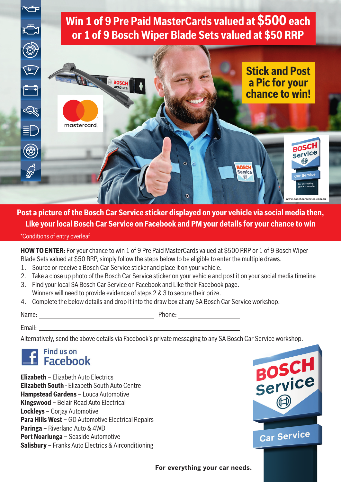



**Post a picture of the Bosch Car Service sticker displayed on your vehicle via social media then, Like your local Bosch Car Service on Facebook and PM your details for your chance to win**

\*Conditions of entry overleaf

**HOW TO ENTER:** For your chance to win 1 of 9 Pre Paid MasterCards valued at \$500 RRP or 1 of 9 Bosch Wiper Blade Sets valued at \$50 RRP, simply follow the steps below to be eligible to enter the multiple draws.

- 1. Source or receive a Bosch Car Service sticker and place it on your vehicle.
- 2. Take a close up photo of the Bosch Car Service sticker on your vehicle and post it on your social media timeline
- 3. Find your local SA Bosch Car Service on Facebook and Like their Facebook page. Winners will need to provide evidence of steps 2 & 3 to secure their prize.
- 4. Complete the below details and drop it into the draw box at any SA Bosch Car Service workshop.

Name: Phone:

Email:

Alternatively, send the above details via Facebook's private messaging to any SA Bosch Car Service workshop.



**Elizabeth** – Elizabeth Auto Electrics **Elizabeth South** - Elizabeth South Auto Centre **Hampstead Gardens** – Louca Automotive **Kingswood** – Belair Road Auto Electrical **Lockleys** – Corjay Automotive **Para Hills West** – GD Automotive Electrical Repairs **Paringa** – Riverland Auto & 4WD **Port Noarlunga** – Seaside Automotive **Salisbury** – Franks Auto Electrics & Airconditioning



**For everything your car needs.**